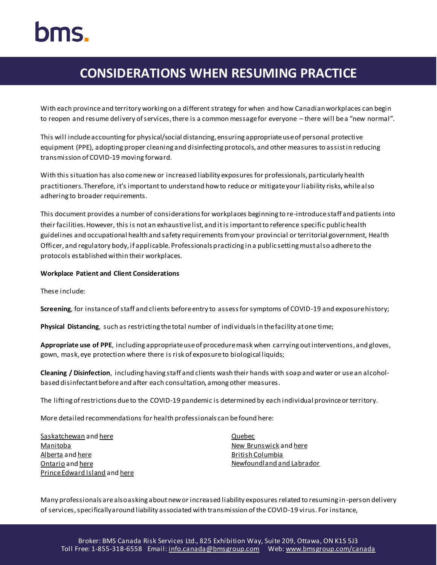# hms.

# **CONSIDERATIONS WHEN RESUMING PRACTICE**

With each province and territory working on a different strategy for when and how Canadian workplaces can begin to reopen and resume delivery of services, there is a common message for everyone – there will be a "new normal".

This will include accounting for physical/social distancing, ensuring appropriate use of personal protective equipment (PPE), adopting proper cleaning and disinfecting protocols, and other measures to assist in reducing transmission of COVID-19 moving forward.

With this situation has also come new or increased liability exposures for professionals, particularly health practitioners. Therefore, it's importantto understand how to reduce or mitigate your liability risks, while also adhering to broader requirements.

This document provides a number of considerations for workplaces beginning to re-introduce staff and patients into their facilities.However, this is not an exhaustive list, and it is important to reference specific public health guidelines and occupational health and safety requirements from your provincial or territorial government, Health Officer, and regulatory body, if applicable. Professionals practicing in a public setting must also adhere to the protocols established within their workplaces.

#### **Workplace Patient and Client Considerations**

These include:

**Screening**, for instance of staff and clients before entry to assess for symptoms of COVID-19 and exposure history;

**Physical Distancing**, such as restricting the total number of individuals in the facility at one time;

**Appropriate use of PPE**, including appropriate use of procedure mask when carrying out interventions, and gloves, gown, mask, eye protection where there is risk of exposure to biological liquids;

**Cleaning / Disinfection**, including having staff and clients wash their hands with soap and water or use an alcoholbased disinfectant before and after each consultation, among other measures.

The lifting of restrictions due to the COVID-19 pandemic is determined by each individual province or territory.

More detailed recommendations for health professionals can be found here:

| Saskatchewan and here                |
|--------------------------------------|
| Manitoba                             |
| Alberta and here                     |
| Ontario and here                     |
| <b>Prince Edward Island and here</b> |

[Quebec](https://www.quebec.ca/en/health/health-issues/a-z/2019-coronavirus/gradual-resumption-activities-covid19-related-pause/) [New Brunswick](https://www2.gnb.ca/content/gnb/en/corporate/promo/covid-19/recovery.html) an[d here](https://www2.gnb.ca/content/gnb/en/corporate/promo/covid-19/measures_businesses.html) [British Columbia](https://www2.gov.bc.ca/gov/content/safety/emergency-preparedness-response-recovery/covid-19-provincial-support/bc-restart-plan) [Newfoundland and Labrador](https://www.gov.nl.ca/covid-19/alert-system/alert-level-4/)

Many professionals are also asking about new or increased liability exposures related to resuming in-person delivery of services, specifically around liability associated with transmission of the COVID-19 virus. For instance,